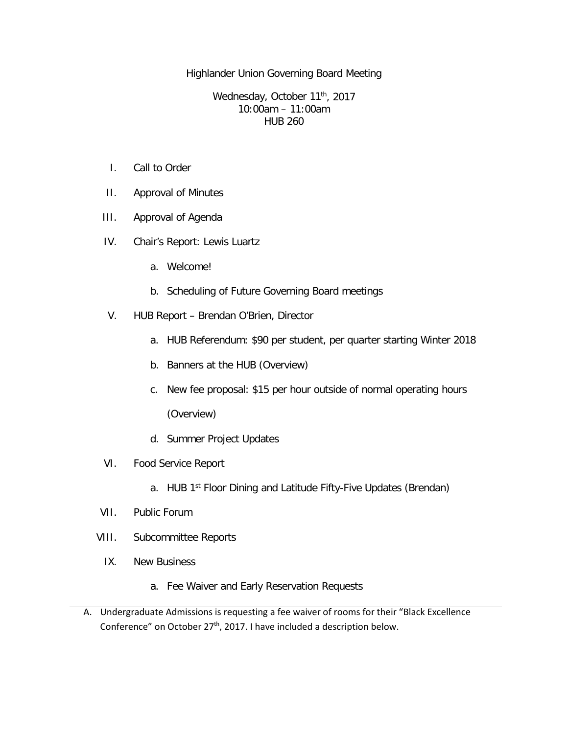Highlander Union Governing Board Meeting

Wednesday, October 11<sup>th</sup>, 2017 10:00am – 11:00am HUB 260

- I. Call to Order
- II. Approval of Minutes
- III. Approval of Agenda
- IV. Chair's Report: Lewis Luartz
	- a. Welcome!
	- b. Scheduling of Future Governing Board meetings
- V. HUB Report Brendan O'Brien, Director
	- a. HUB Referendum: \$90 per student, per quarter starting Winter 2018
	- b. Banners at the HUB (Overview)
	- c. New fee proposal: \$15 per hour outside of normal operating hours

(Overview)

- d. Summer Project Updates
- VI. Food Service Report
	- a. HUB 1<sup>st</sup> Floor Dining and Latitude Fifty-Five Updates (Brendan)
- VII. Public Forum
- VIII. Subcommittee Reports
	- IX. New Business
		- a. Fee Waiver and Early Reservation Requests
- A. Undergraduate Admissions is requesting a fee waiver of rooms for their "Black Excellence Conference" on October 27<sup>th</sup>, 2017. I have included a description below.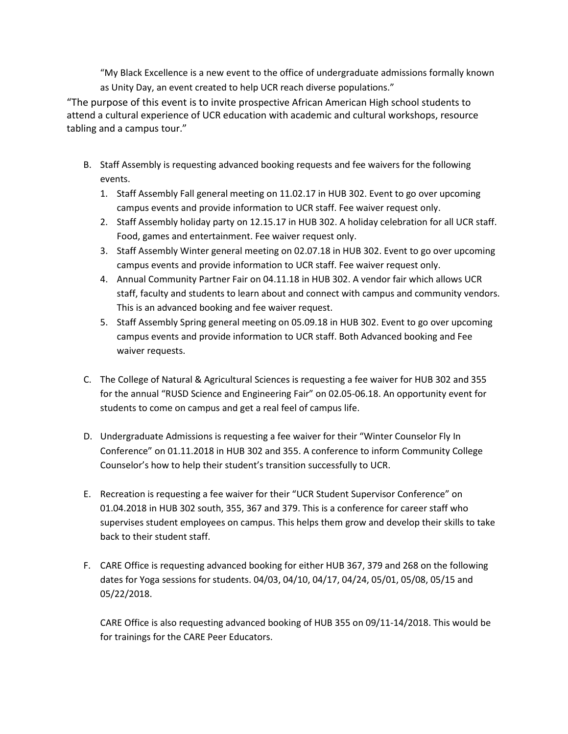"My Black Excellence is a new event to the office of undergraduate admissions formally known as Unity Day, an event created to help UCR reach diverse populations."

"The purpose of this event is to invite prospective African American High school students to attend a cultural experience of UCR education with academic and cultural workshops, resource tabling and a campus tour."

- B. Staff Assembly is requesting advanced booking requests and fee waivers for the following events.
	- 1. Staff Assembly Fall general meeting on 11.02.17 in HUB 302. Event to go over upcoming campus events and provide information to UCR staff. Fee waiver request only.
	- 2. Staff Assembly holiday party on 12.15.17 in HUB 302. A holiday celebration for all UCR staff. Food, games and entertainment. Fee waiver request only.
	- 3. Staff Assembly Winter general meeting on 02.07.18 in HUB 302. Event to go over upcoming campus events and provide information to UCR staff. Fee waiver request only.
	- 4. Annual Community Partner Fair on 04.11.18 in HUB 302. A vendor fair which allows UCR staff, faculty and students to learn about and connect with campus and community vendors. This is an advanced booking and fee waiver request.
	- 5. Staff Assembly Spring general meeting on 05.09.18 in HUB 302. Event to go over upcoming campus events and provide information to UCR staff. Both Advanced booking and Fee waiver requests.
- C. The College of Natural & Agricultural Sciences is requesting a fee waiver for HUB 302 and 355 for the annual "RUSD Science and Engineering Fair" on 02.05-06.18. An opportunity event for students to come on campus and get a real feel of campus life.
- D. Undergraduate Admissions is requesting a fee waiver for their "Winter Counselor Fly In Conference" on 01.11.2018 in HUB 302 and 355. A conference to inform Community College Counselor's how to help their student's transition successfully to UCR.
- E. Recreation is requesting a fee waiver for their "UCR Student Supervisor Conference" on 01.04.2018 in HUB 302 south, 355, 367 and 379. This is a conference for career staff who supervises student employees on campus. This helps them grow and develop their skills to take back to their student staff.
- F. CARE Office is requesting advanced booking for either HUB 367, 379 and 268 on the following dates for Yoga sessions for students. 04/03, 04/10, 04/17, 04/24, 05/01, 05/08, 05/15 and 05/22/2018.

CARE Office is also requesting advanced booking of HUB 355 on 09/11-14/2018. This would be for trainings for the CARE Peer Educators.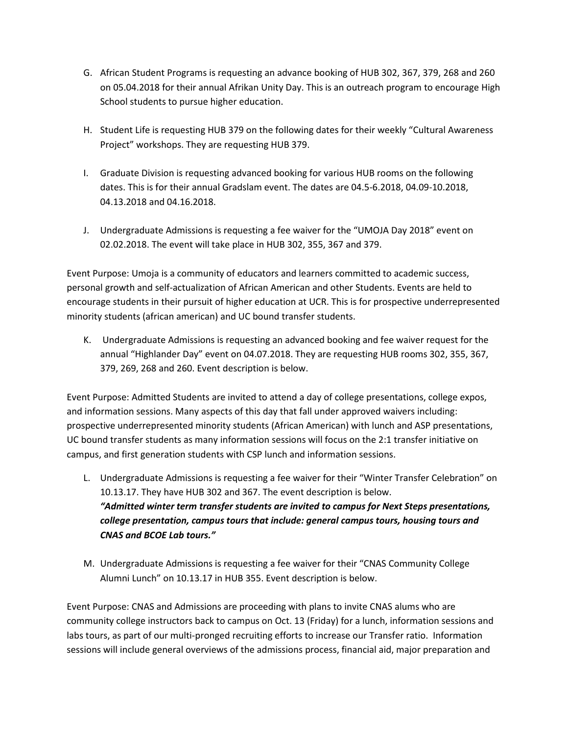- G. African Student Programs is requesting an advance booking of HUB 302, 367, 379, 268 and 260 on 05.04.2018 for their annual Afrikan Unity Day. This is an outreach program to encourage High School students to pursue higher education.
- H. Student Life is requesting HUB 379 on the following dates for their weekly "Cultural Awareness Project" workshops. They are requesting HUB 379.
- I. Graduate Division is requesting advanced booking for various HUB rooms on the following dates. This is for their annual Gradslam event. The dates are 04.5-6.2018, 04.09-10.2018, 04.13.2018 and 04.16.2018.
- J. Undergraduate Admissions is requesting a fee waiver for the "UMOJA Day 2018" event on 02.02.2018. The event will take place in HUB 302, 355, 367 and 379.

Event Purpose: Umoja is a community of educators and learners committed to academic success, personal growth and self-actualization of African American and other Students. Events are held to encourage students in their pursuit of higher education at UCR. This is for prospective underrepresented minority students (african american) and UC bound transfer students.

K. Undergraduate Admissions is requesting an advanced booking and fee waiver request for the annual "Highlander Day" event on 04.07.2018. They are requesting HUB rooms 302, 355, 367, 379, 269, 268 and 260. Event description is below.

Event Purpose: Admitted Students are invited to attend a day of college presentations, college expos, and information sessions. Many aspects of this day that fall under approved waivers including: prospective underrepresented minority students (African American) with lunch and ASP presentations, UC bound transfer students as many information sessions will focus on the 2:1 transfer initiative on campus, and first generation students with CSP lunch and information sessions.

- L. Undergraduate Admissions is requesting a fee waiver for their "Winter Transfer Celebration" on 10.13.17. They have HUB 302 and 367. The event description is below. *"Admitted winter term transfer students are invited to campus for Next Steps presentations, college presentation, campus tours that include: general campus tours, housing tours and CNAS and BCOE Lab tours."*
- M. Undergraduate Admissions is requesting a fee waiver for their "CNAS Community College Alumni Lunch" on 10.13.17 in HUB 355. Event description is below.

Event Purpose: CNAS and Admissions are proceeding with plans to invite CNAS alums who are community college instructors back to campus on Oct. 13 (Friday) for a lunch, information sessions and labs tours, as part of our multi-pronged recruiting efforts to increase our Transfer ratio. Information sessions will include general overviews of the admissions process, financial aid, major preparation and